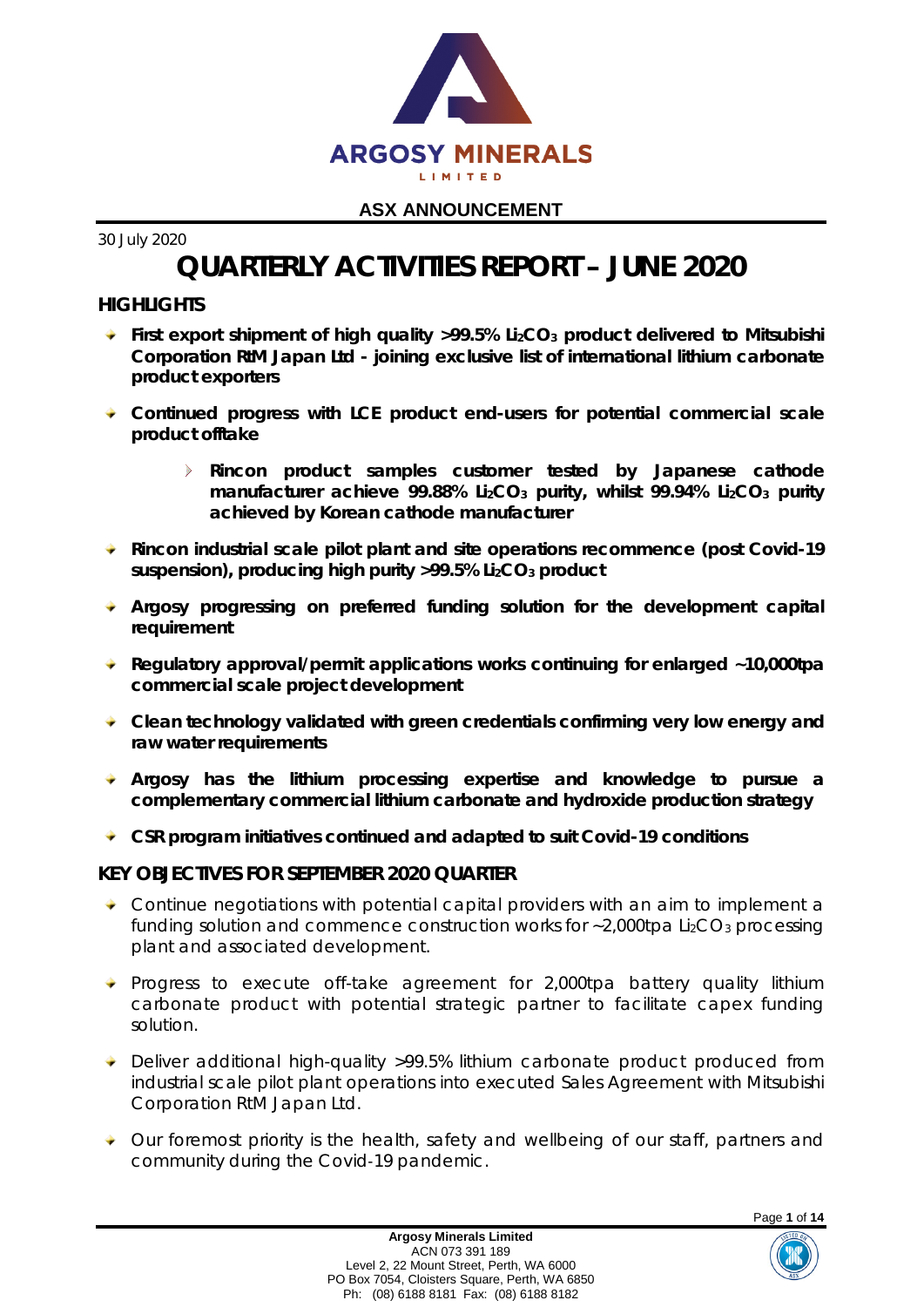

30 July 2020

# **QUARTERLY ACTIVITIES REPORT – JUNE 2020**

# **HIGHLIGHTS**

- **First export shipment of high quality >99.5% Li2CO3 product delivered to Mitsubishi Corporation RtM Japan Ltd - joining exclusive list of international lithium carbonate product exporters**
- **Continued progress with LCE product end-users for potential commercial scale product offtake**
	- $\mathbf{r}$ **Rincon product samples customer tested by Japanese cathode manufacturer achieve 99.88% Li2CO3 purity, whilst 99.94% Li2CO3 purity achieved by Korean cathode manufacturer**
- **Rincon industrial scale pilot plant and site operations recommence (post Covid-19 suspension), producing high purity >99.5% Li2CO3 product**
- **Argosy progressing on preferred funding solution for the development capital requirement**
- **Regulatory approval/permit applications works continuing for enlarged ~10,000tpa commercial scale project development**
- **Clean technology validated with green credentials confirming very low energy and raw water requirements**
- **Argosy has the lithium processing expertise and knowledge to pursue a complementary commercial lithium carbonate and hydroxide production strategy**
- **CSR program initiatives continued and adapted to suit Covid-19 conditions**

# **KEY OBJECTIVES FOR SEPTEMBER 2020 QUARTER**

- $\overline{\bullet}$  Continue negotiations with potential capital providers with an aim to implement a funding solution and commence construction works for  $\sim$  2,000tpa Li<sub>2</sub>CO<sub>3</sub> processing plant and associated development.
- $\rightarrow$  Progress to execute off-take agreement for 2,000tpa battery quality lithium carbonate product with potential strategic partner to facilitate capex funding solution.
- ◆ Deliver additional high-quality >99.5% lithium carbonate product produced from industrial scale pilot plant operations into executed Sales Agreement with Mitsubishi Corporation RtM Japan Ltd.
- ◆ Our foremost priority is the health, safety and wellbeing of our staff, partners and community during the Covid‐19 pandemic.



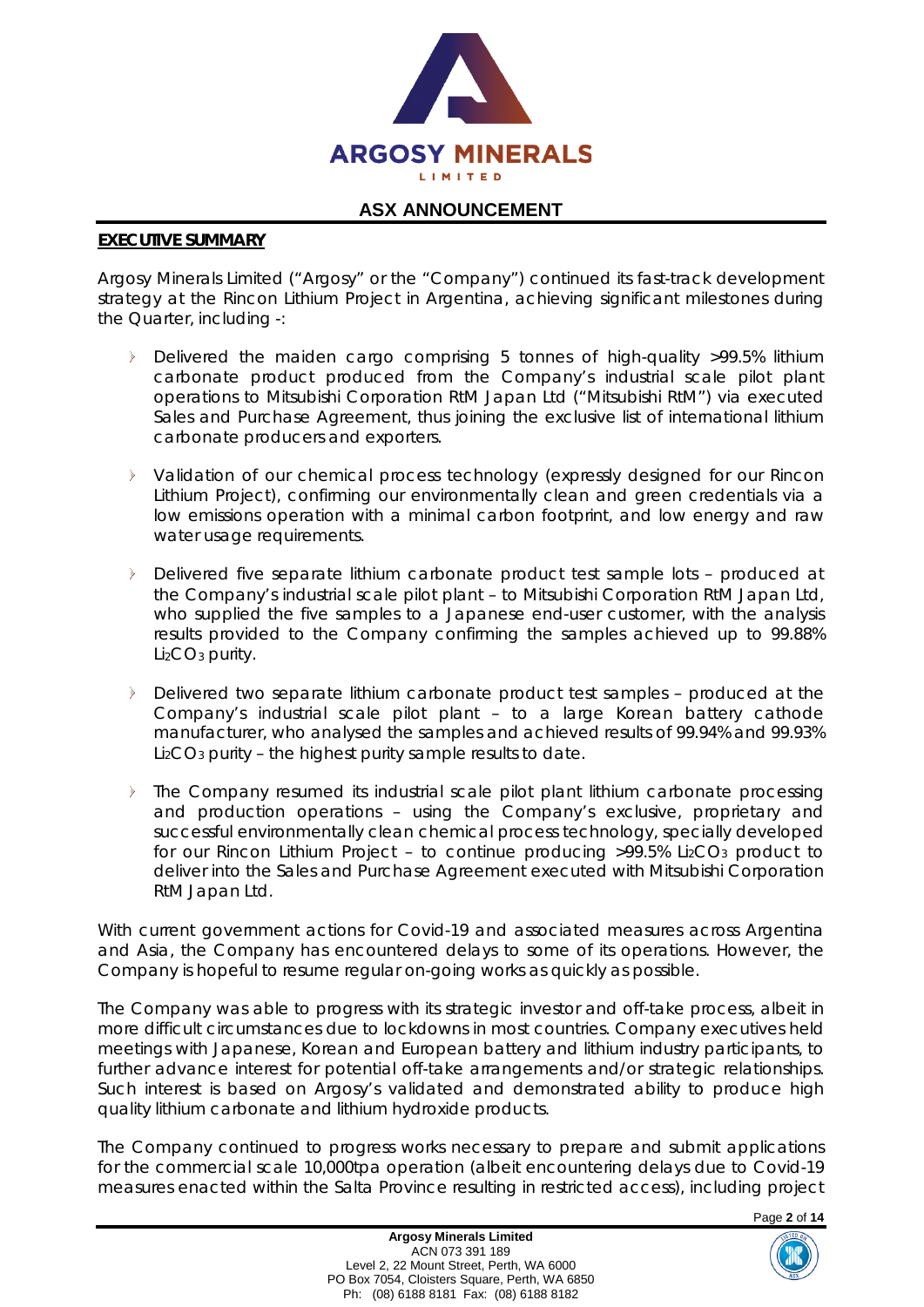

#### **EXECUTIVE SUMMARY**

Argosy Minerals Limited ("Argosy" or the "Company") continued its fast-track development strategy at the Rincon Lithium Project in Argentina, achieving significant milestones during the Quarter, including -:

- Delivered the maiden cargo comprising 5 tonnes of high-quality >99.5% lithium carbonate product produced from the Company's industrial scale pilot plant operations to Mitsubishi Corporation RtM Japan Ltd ("Mitsubishi RtM") via executed Sales and Purchase Agreement, thus joining the exclusive list of international lithium carbonate producers and exporters.
- Validation of our chemical process technology (expressly designed for our Rincon Lithium Project), confirming our environmentally clean and green credentials via a low emissions operation with a minimal carbon footprint, and low energy and raw water usage requirements.
- $\triangleright$ Delivered five separate lithium carbonate product test sample lots – produced at the Company's industrial scale pilot plant – to Mitsubishi Corporation RtM Japan Ltd, who supplied the five samples to a Japanese end-user customer, with the analysis results provided to the Company confirming the samples achieved up to 99.88%  $Li<sub>2</sub>CO<sub>3</sub>$  purity.
- Delivered two separate lithium carbonate product test samples produced at the Company's industrial scale pilot plant – to a large Korean battery cathode manufacturer, who analysed the samples and achieved results of 99.94% and 99.93% Li2CO3 purity – the highest purity sample results to date.
- The Company resumed its industrial scale pilot plant lithium carbonate processing and production operations – using the Company's exclusive, proprietary and successful environmentally clean chemical process technology, specially developed for our Rincon Lithium Project - to continue producing >99.5% Li2CO<sub>3</sub> product to deliver into the Sales and Purchase Agreement executed with Mitsubishi Corporation RtM Japan Ltd.

With current government actions for Covid-19 and associated measures across Argentina and Asia, the Company has encountered delays to some of its operations. However, the Company is hopeful to resume regular on-going works as quickly as possible.

The Company was able to progress with its strategic investor and off-take process, albeit in more difficult circumstances due to lockdowns in most countries. Company executives held meetings with Japanese, Korean and European battery and lithium industry participants, to further advance interest for potential off-take arrangements and/or strategic relationships. Such interest is based on Argosy's validated and demonstrated ability to produce high quality lithium carbonate and lithium hydroxide products.

The Company continued to progress works necessary to prepare and submit applications for the commercial scale 10,000tpa operation (albeit encountering delays due to Covid-19 measures enacted within the Salta Province resulting in restricted access), including project

Page **2** of **14**

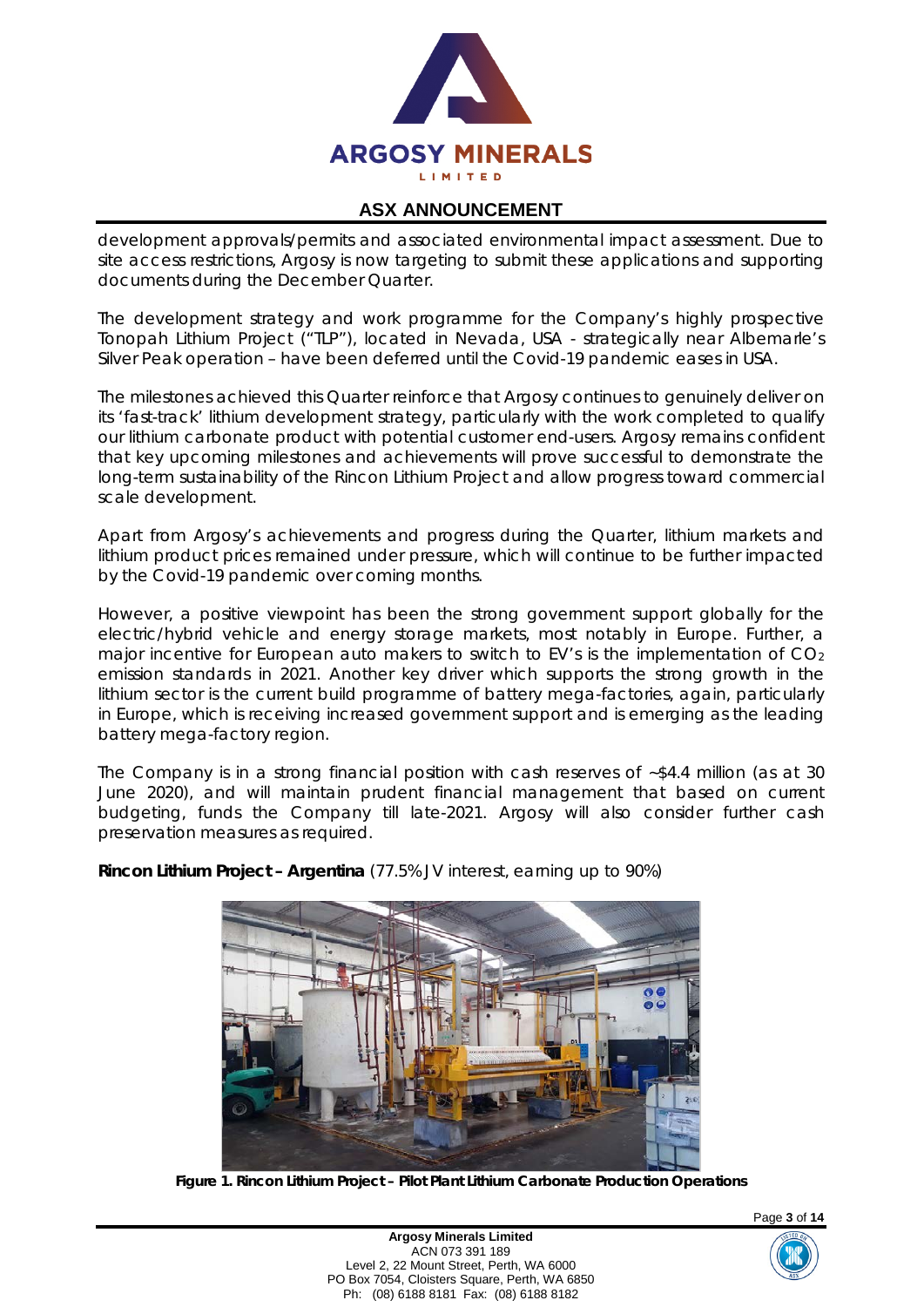

development approvals/permits and associated environmental impact assessment. Due to site access restrictions, Argosy is now targeting to submit these applications and supporting documents during the December Quarter.

The development strategy and work programme for the Company's highly prospective Tonopah Lithium Project ("TLP"), located in Nevada, USA - strategically near Albemarle's Silver Peak operation – have been deferred until the Covid-19 pandemic eases in USA.

The milestones achieved this Quarter reinforce that Argosy continues to genuinely deliver on its 'fast-track' lithium development strategy, particularly with the work completed to qualify our lithium carbonate product with potential customer end-users. Argosy remains confident that key upcoming milestones and achievements will prove successful to demonstrate the long-term sustainability of the Rincon Lithium Project and allow progress toward commercial scale development.

Apart from Argosy's achievements and progress during the Quarter, lithium markets and lithium product prices remained under pressure, which will continue to be further impacted by the Covid-19 pandemic over coming months.

However, a positive viewpoint has been the strong government support globally for the electric/hybrid vehicle and energy storage markets, most notably in Europe. Further, a major incentive for European auto makers to switch to EV's is the implementation of  $CO<sub>2</sub>$ emission standards in 2021. Another key driver which supports the strong growth in the lithium sector is the current build programme of battery mega-factories, again, particularly in Europe, which is receiving increased government support and is emerging as the leading battery mega-factory region.

The Company is in a strong financial position with cash reserves of ~\$4.4 million (as at 30 June 2020), and will maintain prudent financial management that based on current budgeting, funds the Company till late-2021. Argosy will also consider further cash preservation measures as required.



**Rincon Lithium Project – Argentina** (77.5% JV interest, earning up to 90%)

**Figure 1. Rincon Lithium Project – Pilot Plant Lithium Carbonate Production Operations**



Page **3** of **14**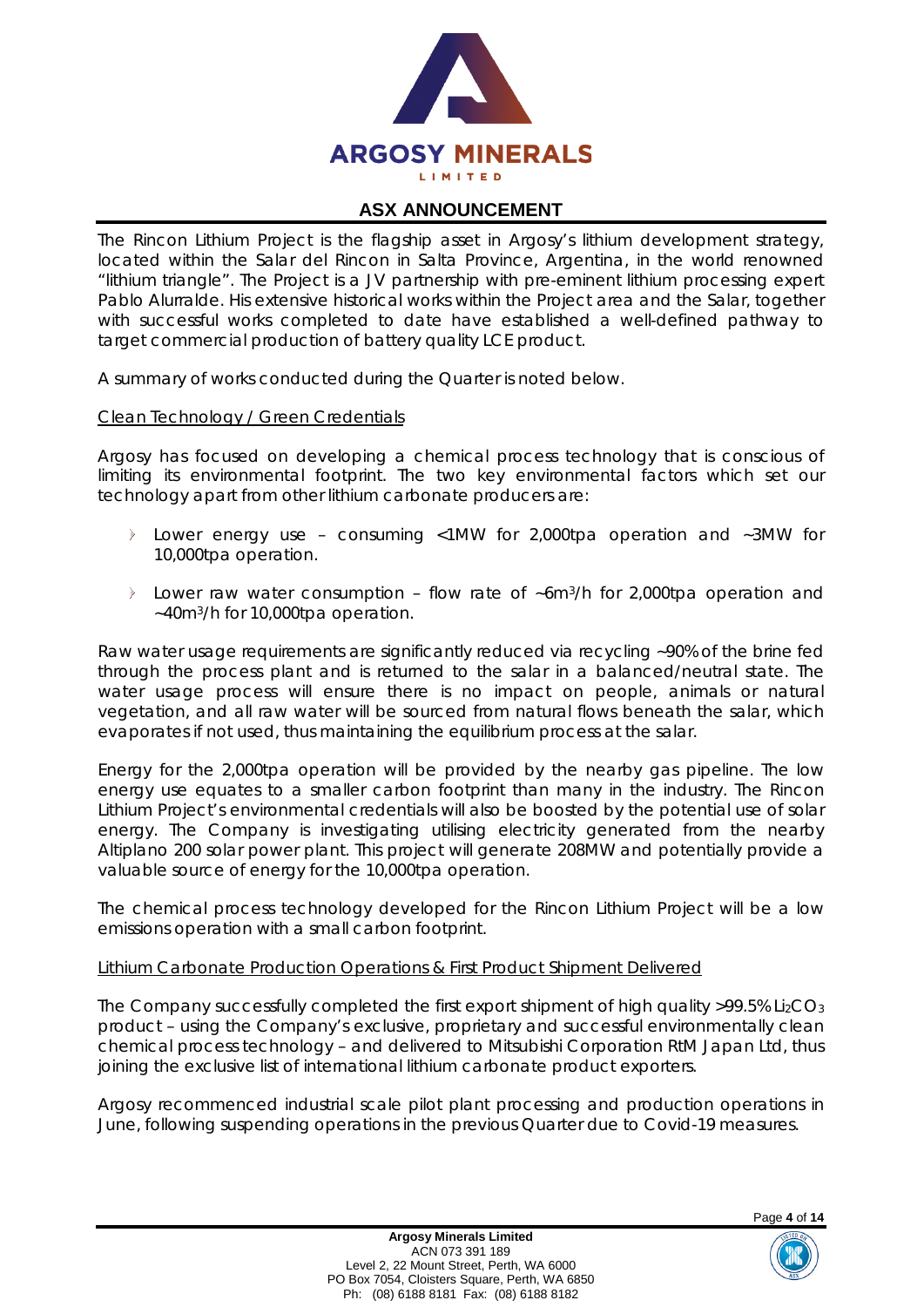

The Rincon Lithium Project is the flagship asset in Argosy's lithium development strategy, located within the Salar del Rincon in Salta Province, Argentina, in the world renowned "lithium triangle". The Project is a JV partnership with pre-eminent lithium processing expert Pablo Alurralde. His extensive historical works within the Project area and the Salar, together with successful works completed to date have established a well-defined pathway to target commercial production of battery quality LCE product.

A summary of works conducted during the Quarter is noted below.

### *Clean Technology / Green Credentials*

Argosy has focused on developing a chemical process technology that is conscious of limiting its environmental footprint. The two key environmental factors which set our technology apart from other lithium carbonate producers are:

- Lower energy use consuming <1MW for 2,000tpa operation and ~3MW for 10,000tpa operation.
- Lower raw water consumption flow rate of  $\sim 6$ m<sup>3</sup>/h for 2,000tpa operation and ~40m3/h for 10,000tpa operation.

Raw water usage requirements are significantly reduced via recycling ~90% of the brine fed through the process plant and is returned to the salar in a balanced/neutral state. The water usage process will ensure there is no impact on people, animals or natural vegetation, and all raw water will be sourced from natural flows beneath the salar, which evaporates if not used, thus maintaining the equilibrium process at the salar.

Energy for the 2,000tpa operation will be provided by the nearby gas pipeline. The low energy use equates to a smaller carbon footprint than many in the industry. The Rincon Lithium Project's environmental credentials will also be boosted by the potential use of solar energy. The Company is investigating utilising electricity generated from the nearby Altiplano 200 solar power plant. This project will generate 208MW and potentially provide a valuable source of energy for the 10,000tpa operation.

The chemical process technology developed for the Rincon Lithium Project will be a low emissions operation with a small carbon footprint.

#### *Lithium Carbonate Production Operations & First Product Shipment Delivered*

The Company successfully completed the first export shipment of high quality  $>99.5\%$  Li<sub>2</sub>CO<sub>3</sub> product – using the Company's exclusive, proprietary and successful environmentally clean chemical process technology – and delivered to Mitsubishi Corporation RtM Japan Ltd, thus joining the exclusive list of international lithium carbonate product exporters.

Argosy recommenced industrial scale pilot plant processing and production operations in June, following suspending operations in the previous Quarter due to Covid-19 measures.



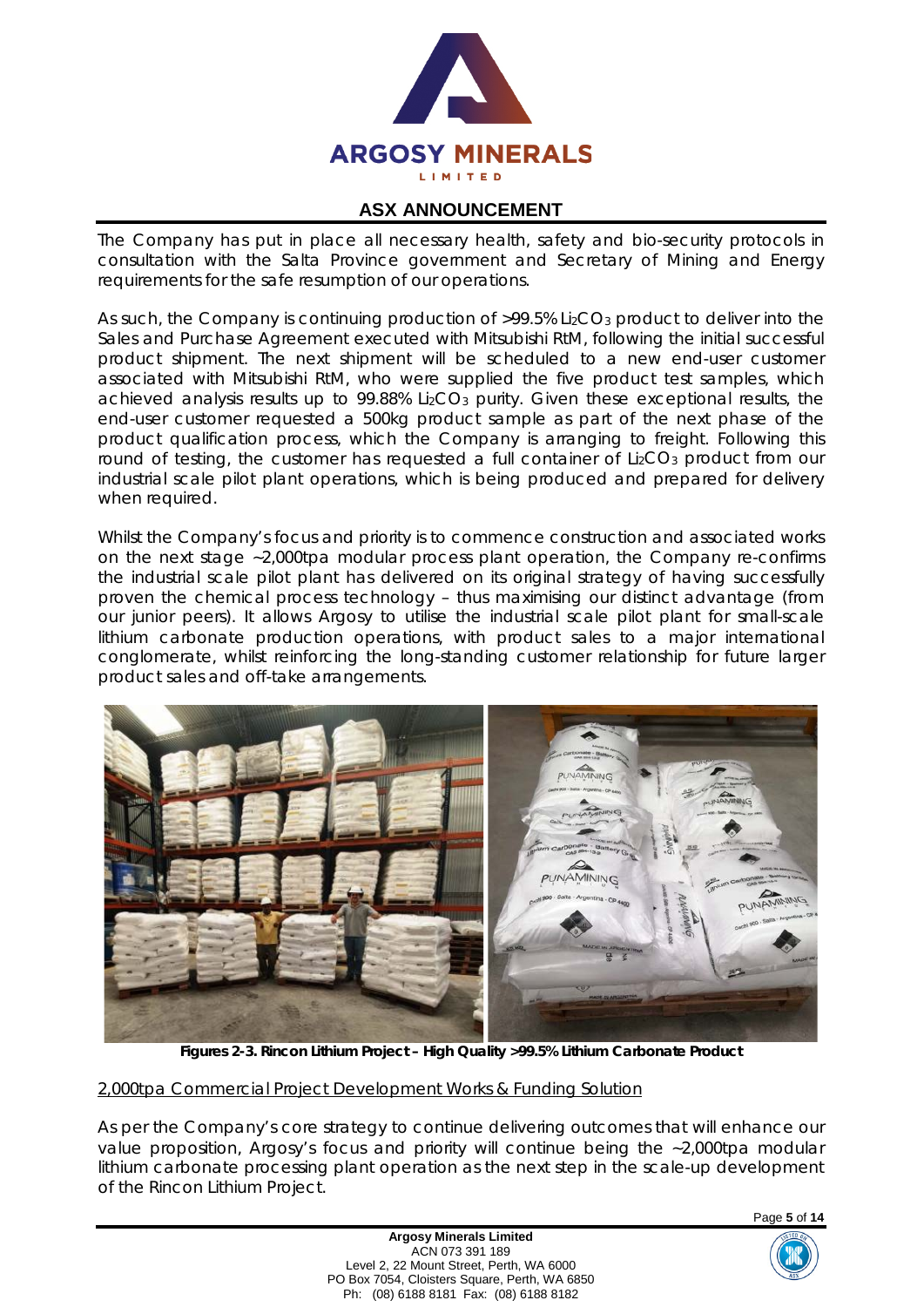

The Company has put in place all necessary health, safety and bio-security protocols in consultation with the Salta Province government and Secretary of Mining and Energy requirements for the safe resumption of our operations.

As such, the Company is continuing production of  $>99.5\%$  Li<sub>2</sub>CO<sub>3</sub> product to deliver into the Sales and Purchase Agreement executed with Mitsubishi RtM, following the initial successful product shipment. The next shipment will be scheduled to a new end-user customer associated with Mitsubishi RtM, who were supplied the five product test samples, which achieved analysis results up to 99.88% Li<sub>2</sub>CO<sub>3</sub> purity. Given these exceptional results, the end-user customer requested a 500kg product sample as part of the next phase of the product qualification process, which the Company is arranging to freight. Following this round of testing, the customer has requested a full container of Li<sub>2</sub>CO<sub>3</sub> product from our industrial scale pilot plant operations, which is being produced and prepared for delivery when required.

Whilst the Company's focus and priority is to commence construction and associated works on the next stage ~2,000tpa modular process plant operation, the Company re-confirms the industrial scale pilot plant has delivered on its original strategy of having successfully proven the chemical process technology – thus maximising our distinct advantage (from our junior peers). It allows Argosy to utilise the industrial scale pilot plant for small-scale lithium carbonate production operations, with product sales to a major international conglomerate, whilst reinforcing the long-standing customer relationship for future larger product sales and off-take arrangements.



**Figures 2-3. Rincon Lithium Project – High Quality >99.5% Lithium Carbonate Product**

#### *2,000tpa Commercial Project Development Works & Funding Solution*

As per the Company's core strategy to continue delivering outcomes that will enhance our value proposition, Argosy's focus and priority will continue being the ~2,000tpa modular lithium carbonate processing plant operation as the next step in the scale-up development of the Rincon Lithium Project.

> **Argosy Minerals Limited** ACN 073 391 189 Level 2, 22 Mount Street, Perth, WA 6000 PO Box 7054, Cloisters Square, Perth, WA 6850 Ph: (08) 6188 8181 Fax: (08) 6188 8182



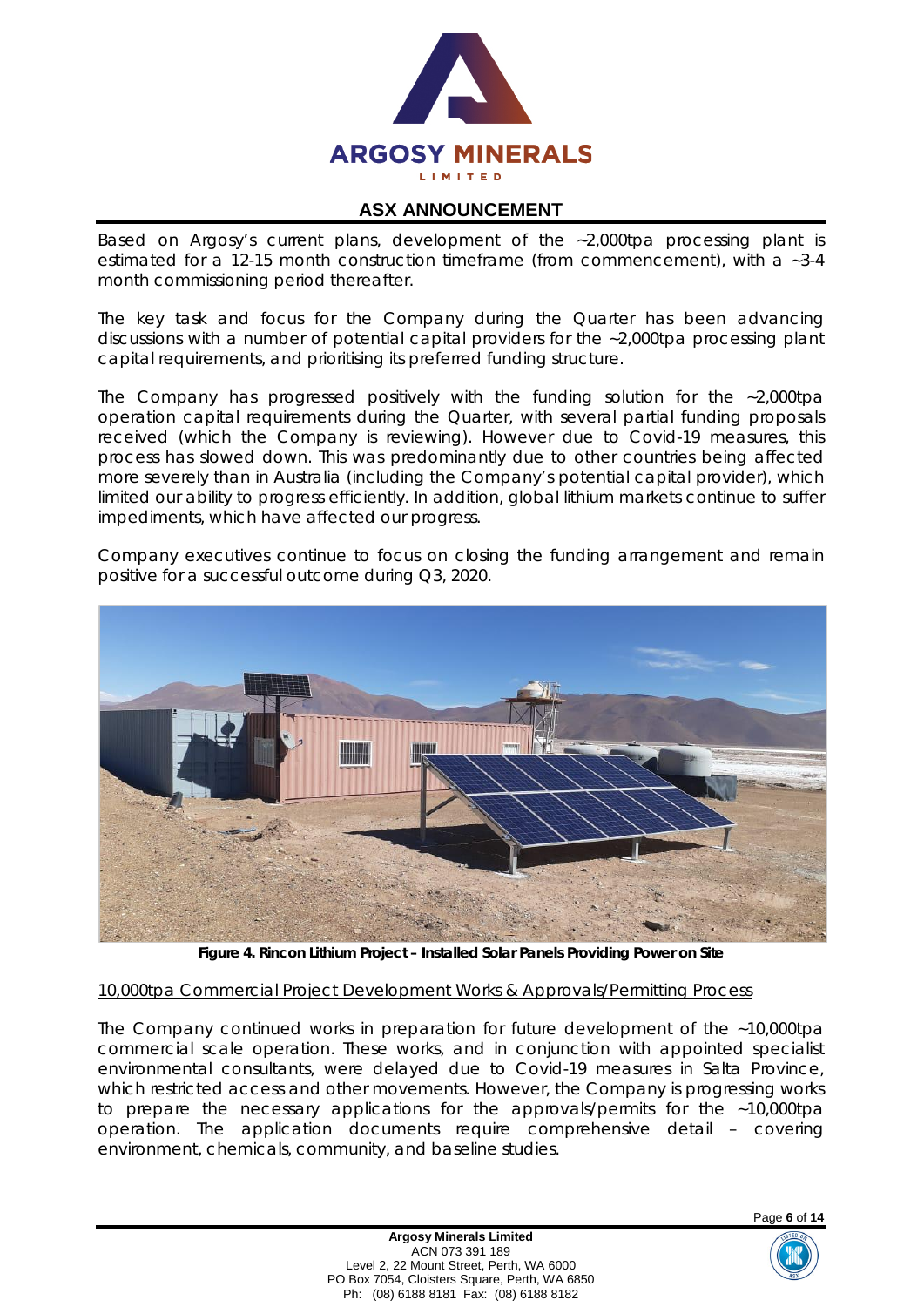

Based on Argosy's current plans, development of the ~2,000tpa processing plant is estimated for a 12-15 month construction timeframe (from commencement), with a ~3-4 month commissioning period thereafter.

The key task and focus for the Company during the Quarter has been advancing discussions with a number of potential capital providers for the ~2,000tpa processing plant capital requirements, and prioritising its preferred funding structure.

The Company has progressed positively with the funding solution for the ~2,000tpa operation capital requirements during the Quarter, with several partial funding proposals received (which the Company is reviewing). However due to Covid-19 measures, this process has slowed down. This was predominantly due to other countries being affected more severely than in Australia (including the Company's potential capital provider), which limited our ability to progress efficiently. In addition, global lithium markets continue to suffer impediments, which have affected our progress.

Company executives continue to focus on closing the funding arrangement and remain positive for a successful outcome during Q3, 2020.



**Figure 4. Rincon Lithium Project – Installed Solar Panels Providing Power on Site**

#### *10,000tpa Commercial Project Development Works & Approvals/Permitting Process*

The Company continued works in preparation for future development of the ~10,000tpa commercial scale operation. These works, and in conjunction with appointed specialist environmental consultants, were delayed due to Covid-19 measures in Salta Province, which restricted access and other movements. However, the Company is progressing works to prepare the necessary applications for the approvals/permits for the ~10,000tpa operation. The application documents require comprehensive detail – covering environment, chemicals, community, and baseline studies.



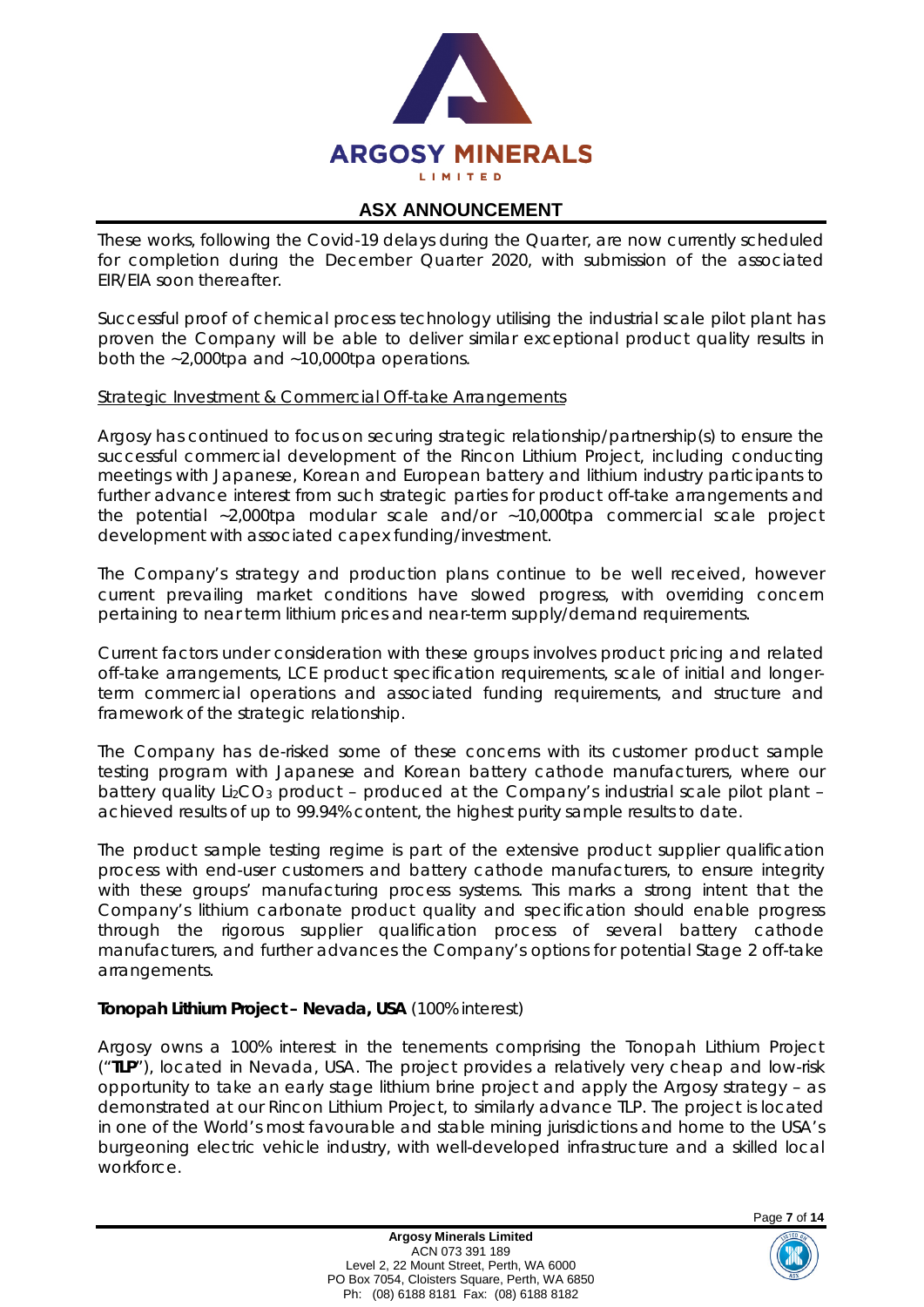

These works, following the Covid-19 delays during the Quarter, are now currently scheduled for completion during the December Quarter 2020, with submission of the associated EIR/EIA soon thereafter.

Successful proof of chemical process technology utilising the industrial scale pilot plant has proven the Company will be able to deliver similar exceptional product quality results in both the ~2,000tpa and ~10,000tpa operations.

#### *Strategic Investment & Commercial Off-take Arrangements*

Argosy has continued to focus on securing strategic relationship/partnership(s) to ensure the successful commercial development of the Rincon Lithium Project, including conducting meetings with Japanese, Korean and European battery and lithium industry participants to further advance interest from such strategic parties for product off-take arrangements and the potential ~2,000tpa modular scale and/or ~10,000tpa commercial scale project development with associated capex funding/investment.

The Company's strategy and production plans continue to be well received, however current prevailing market conditions have slowed progress, with overriding concern pertaining to near term lithium prices and near-term supply/demand requirements.

Current factors under consideration with these groups involves product pricing and related off-take arrangements, LCE product specification requirements, scale of initial and longerterm commercial operations and associated funding requirements, and structure and framework of the strategic relationship.

The Company has de-risked some of these concerns with its customer product sample testing program with Japanese and Korean battery cathode manufacturers, where our battery quality Li<sub>2</sub>CO<sub>3</sub> product – produced at the Company's industrial scale pilot plant – achieved results of up to 99.94% content, the highest purity sample results to date.

The product sample testing regime is part of the extensive product supplier qualification process with end-user customers and battery cathode manufacturers, to ensure integrity with these groups' manufacturing process systems. This marks a strong intent that the Company's lithium carbonate product quality and specification should enable progress through the rigorous supplier qualification process of several battery cathode manufacturers, and further advances the Company's options for potential Stage 2 off-take arrangements.

## **Tonopah Lithium Project – Nevada, USA** (100% interest)

Argosy owns a 100% interest in the tenements comprising the Tonopah Lithium Project ("**TLP**"), located in Nevada, USA. The project provides a relatively very cheap and low-risk opportunity to take an early stage lithium brine project and apply the Argosy strategy – as demonstrated at our Rincon Lithium Project, to similarly advance TLP. The project is located in one of the World's most favourable and stable mining jurisdictions and home to the USA's burgeoning electric vehicle industry, with well-developed infrastructure and a skilled local workforce.



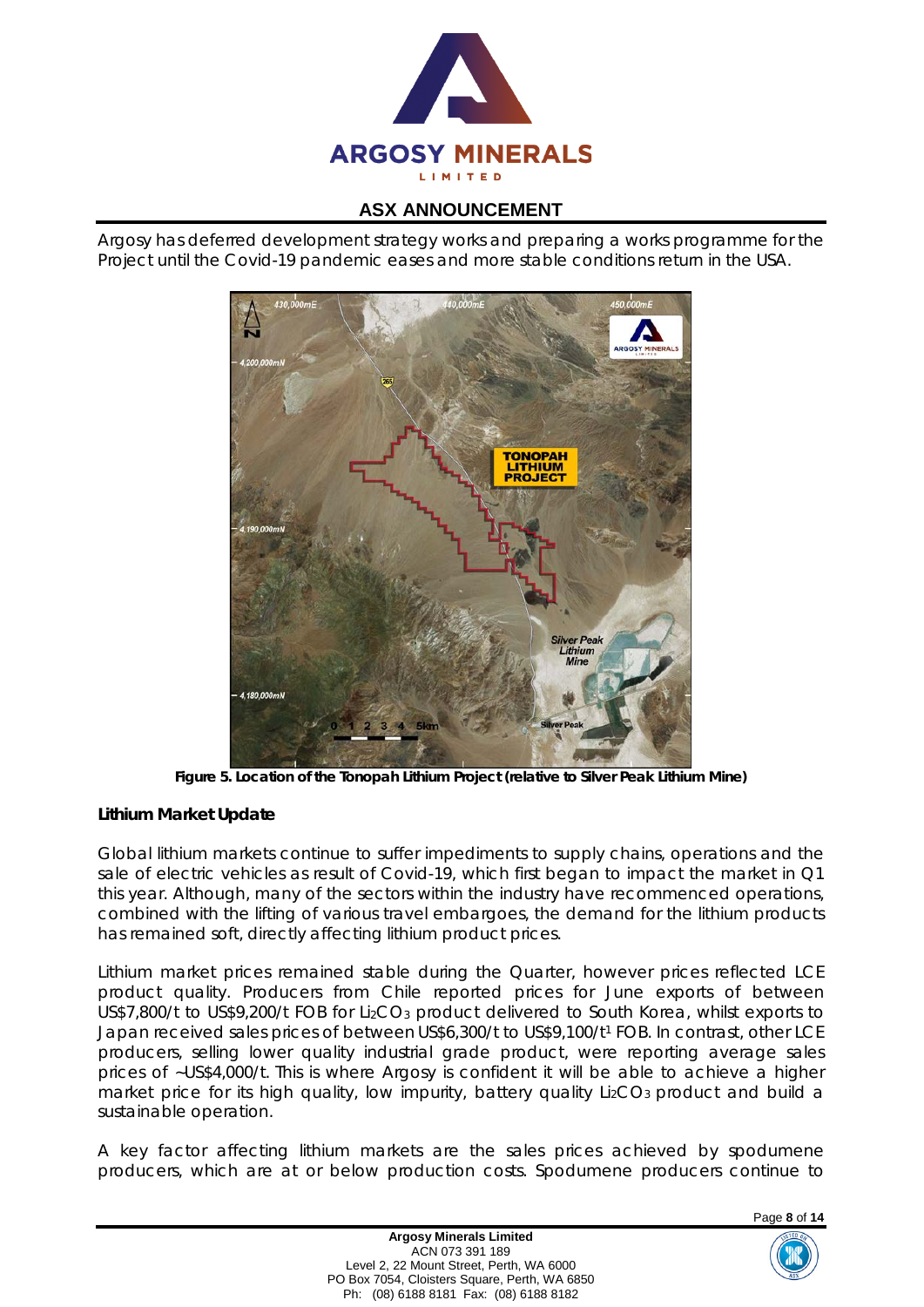

Argosy has deferred development strategy works and preparing a works programme for the Project until the Covid-19 pandemic eases and more stable conditions return in the USA.



**Figure 5. Location of the Tonopah Lithium Project (relative to Silver Peak Lithium Mine)**

## **Lithium Market Update**

Global lithium markets continue to suffer impediments to supply chains, operations and the sale of electric vehicles as result of Covid-19, which first began to impact the market in Q1 this year. Although, many of the sectors within the industry have recommenced operations, combined with the lifting of various travel embargoes, the demand for the lithium products has remained soft, directly affecting lithium product prices.

Lithium market prices remained stable during the Quarter, however prices reflected LCE product quality. Producers from Chile reported prices for June exports of between US\$7,800/t to US\$9,200/t FOB for Li<sub>2</sub>CO<sub>3</sub> product delivered to South Korea, whilst exports to Japan received sales prices of between US\$6,300/t to US\$9,100/t1 FOB. In contrast, other LCE producers, selling lower quality industrial grade product, were reporting average sales prices of ~US\$4,000/t. This is where Argosy is confident it will be able to achieve a higher market price for its high quality, low impurity, battery quality Li<sub>2</sub>CO<sub>3</sub> product and build a sustainable operation.

A key factor affecting lithium markets are the sales prices achieved by spodumene producers, which are at or below production costs. Spodumene producers continue to

Page **8** of **14**



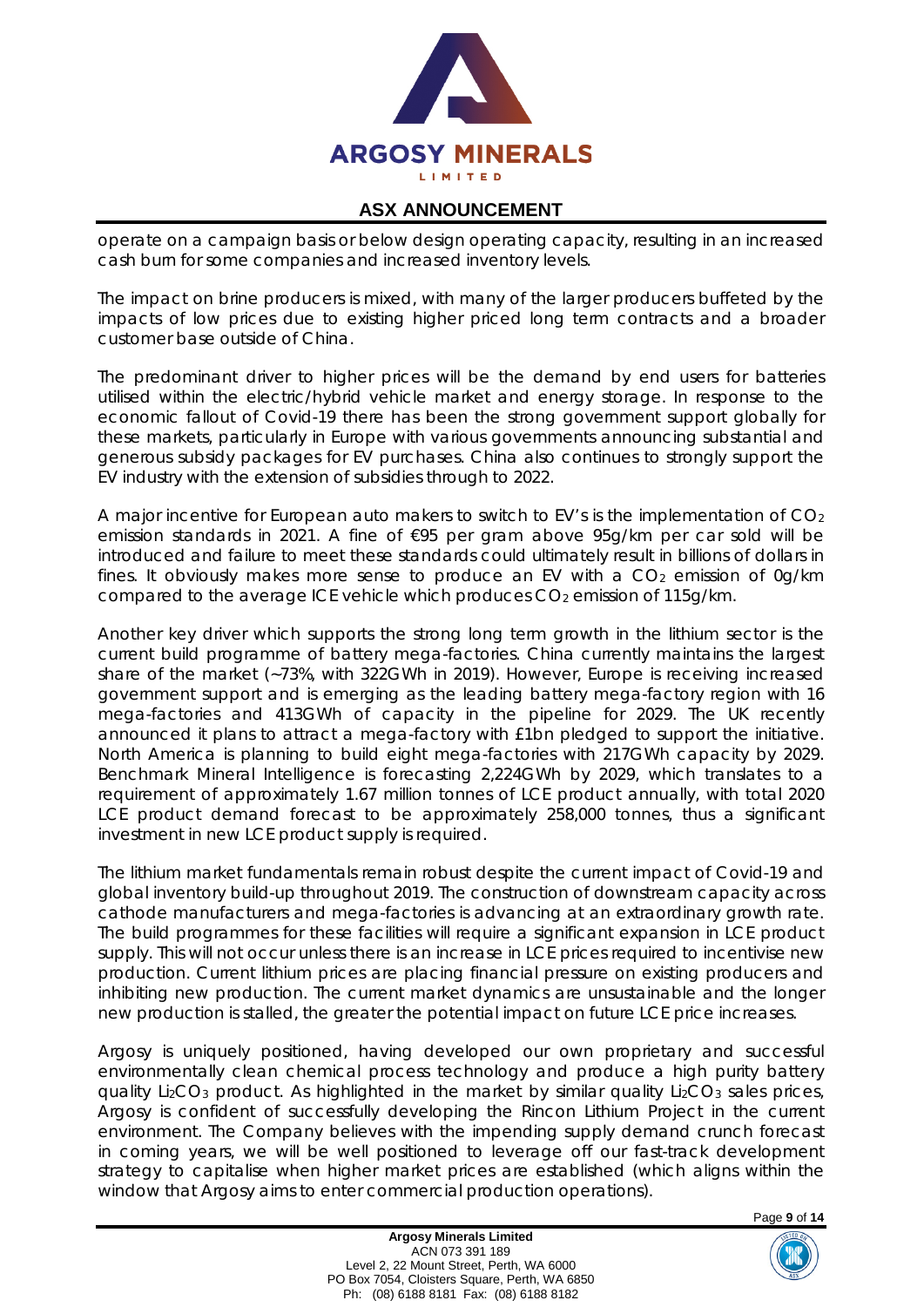

operate on a campaign basis or below design operating capacity, resulting in an increased cash burn for some companies and increased inventory levels.

The impact on brine producers is mixed, with many of the larger producers buffeted by the impacts of low prices due to existing higher priced long term contracts and a broader customer base outside of China.

The predominant driver to higher prices will be the demand by end users for batteries utilised within the electric/hybrid vehicle market and energy storage. In response to the economic fallout of Covid-19 there has been the strong government support globally for these markets, particularly in Europe with various governments announcing substantial and generous subsidy packages for EV purchases. China also continues to strongly support the EV industry with the extension of subsidies through to 2022.

A major incentive for European auto makers to switch to EV's is the implementation of  $CO<sub>2</sub>$ emission standards in 2021. A fine of €95 per gram above 95g/km per car sold will be introduced and failure to meet these standards could ultimately result in billions of dollars in fines. It obviously makes more sense to produce an EV with a  $CO<sub>2</sub>$  emission of 0g/km compared to the average ICE vehicle which produces  $CO<sub>2</sub>$  emission of 115g/km.

Another key driver which supports the strong long term growth in the lithium sector is the current build programme of battery mega-factories. China currently maintains the largest share of the market (~73%, with 322GWh in 2019). However, Europe is receiving increased government support and is emerging as the leading battery mega-factory region with 16 mega-factories and 413GWh of capacity in the pipeline for 2029. The UK recently announced it plans to attract a mega-factory with £1bn pledged to support the initiative. North America is planning to build eight mega-factories with 217GWh capacity by 2029. Benchmark Mineral Intelligence is forecasting 2,224GWh by 2029, which translates to a requirement of approximately 1.67 million tonnes of LCE product annually, with total 2020 LCE product demand forecast to be approximately 258,000 tonnes, thus a significant investment in new LCE product supply is required.

The lithium market fundamentals remain robust despite the current impact of Covid-19 and global inventory build-up throughout 2019. The construction of downstream capacity across cathode manufacturers and mega-factories is advancing at an extraordinary growth rate. The build programmes for these facilities will require a significant expansion in LCE product supply. This will not occur unless there is an increase in LCE prices required to incentivise new production. Current lithium prices are placing financial pressure on existing producers and inhibiting new production. The current market dynamics are unsustainable and the longer new production is stalled, the greater the potential impact on future LCE price increases.

Argosy is uniquely positioned, having developed our own proprietary and successful environmentally clean chemical process technology and produce a high purity battery quality Li<sub>2</sub>CO<sub>3</sub> product. As highlighted in the market by similar quality Li<sub>2</sub>CO<sub>3</sub> sales prices, Argosy is confident of successfully developing the Rincon Lithium Project in the current environment. The Company believes with the impending supply demand crunch forecast in coming years, we will be well positioned to leverage off our fast-track development strategy to capitalise when higher market prices are established (which aligns within the window that Argosy aims to enter commercial production operations).

Page **9** of **14**

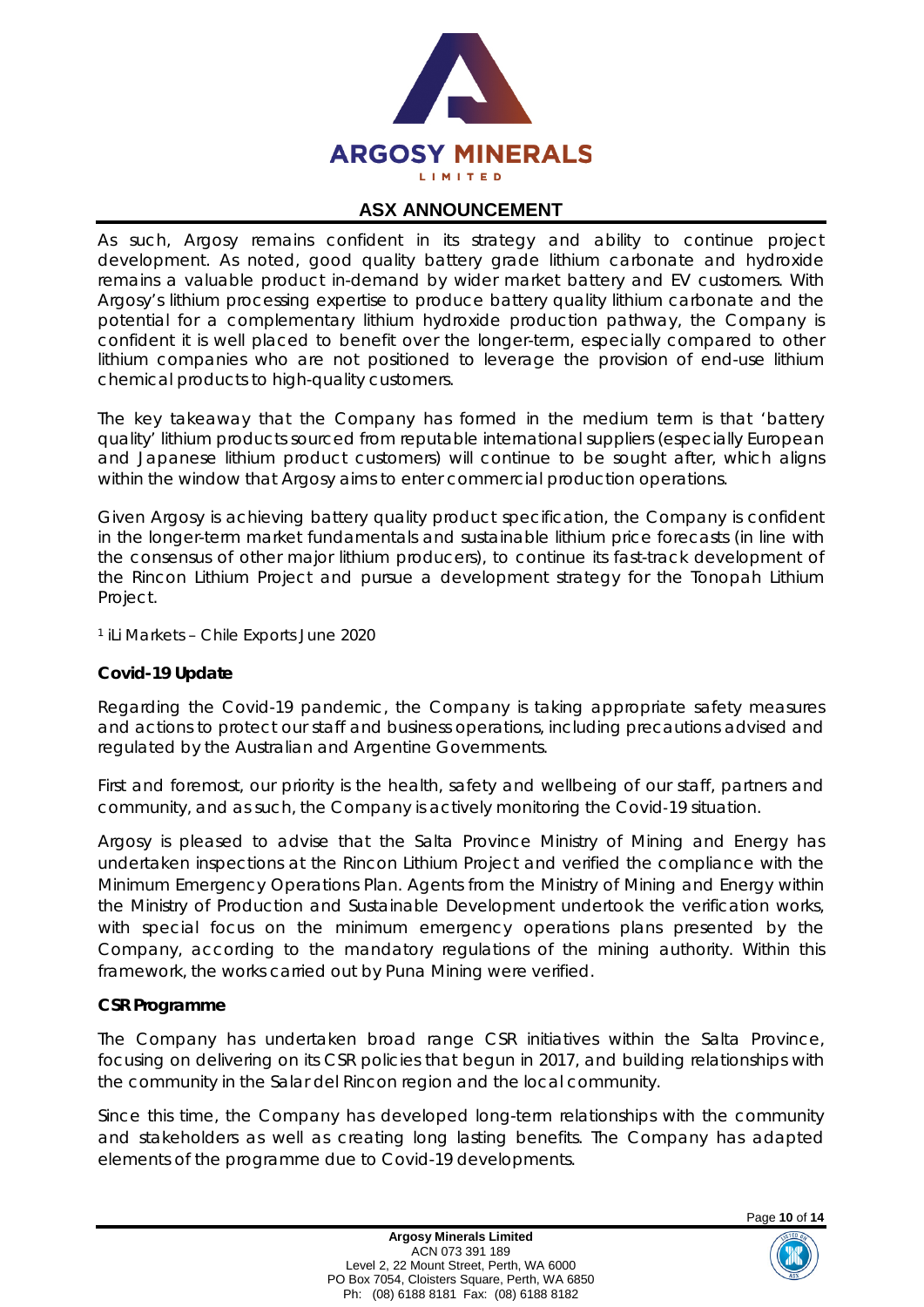

As such, Argosy remains confident in its strategy and ability to continue project development. As noted, good quality battery grade lithium carbonate and hydroxide remains a valuable product in-demand by wider market battery and EV customers. With Argosy's lithium processing expertise to produce battery quality lithium carbonate and the potential for a complementary lithium hydroxide production pathway, the Company is confident it is well placed to benefit over the longer-term, especially compared to other lithium companies who are not positioned to leverage the provision of end-use lithium chemical products to high-quality customers.

The key takeaway that the Company has formed in the medium term is that 'battery quality' lithium products sourced from reputable international suppliers (especially European and Japanese lithium product customers) will continue to be sought after, which aligns within the window that Argosy aims to enter commercial production operations.

Given Argosy is achieving battery quality product specification, the Company is confident in the longer-term market fundamentals and sustainable lithium price forecasts (in line with the consensus of other major lithium producers), to continue its fast-track development of the Rincon Lithium Project and pursue a development strategy for the Tonopah Lithium Project.

<sup>1</sup> iLi Markets – Chile Exports June 2020

#### **Covid-19 Update**

Regarding the Covid-19 pandemic, the Company is taking appropriate safety measures and actions to protect our staff and business operations, including precautions advised and regulated by the Australian and Argentine Governments.

First and foremost, our priority is the health, safety and wellbeing of our staff, partners and community, and as such, the Company is actively monitoring the Covid‐19 situation.

Argosy is pleased to advise that the Salta Province Ministry of Mining and Energy has undertaken inspections at the Rincon Lithium Project and verified the compliance with the Minimum Emergency Operations Plan. Agents from the Ministry of Mining and Energy within the Ministry of Production and Sustainable Development undertook the verification works, with special focus on the minimum emergency operations plans presented by the Company, according to the mandatory regulations of the mining authority. Within this framework, the works carried out by Puna Mining were verified.

#### **CSR Programme**

The Company has undertaken broad range CSR initiatives within the Salta Province, focusing on delivering on its CSR policies that begun in 2017, and building relationships with the community in the Salar del Rincon region and the local community.

Since this time, the Company has developed long-term relationships with the community and stakeholders as well as creating long lasting benefits. The Company has adapted elements of the programme due to Covid-19 developments.

Page **10** of **14**

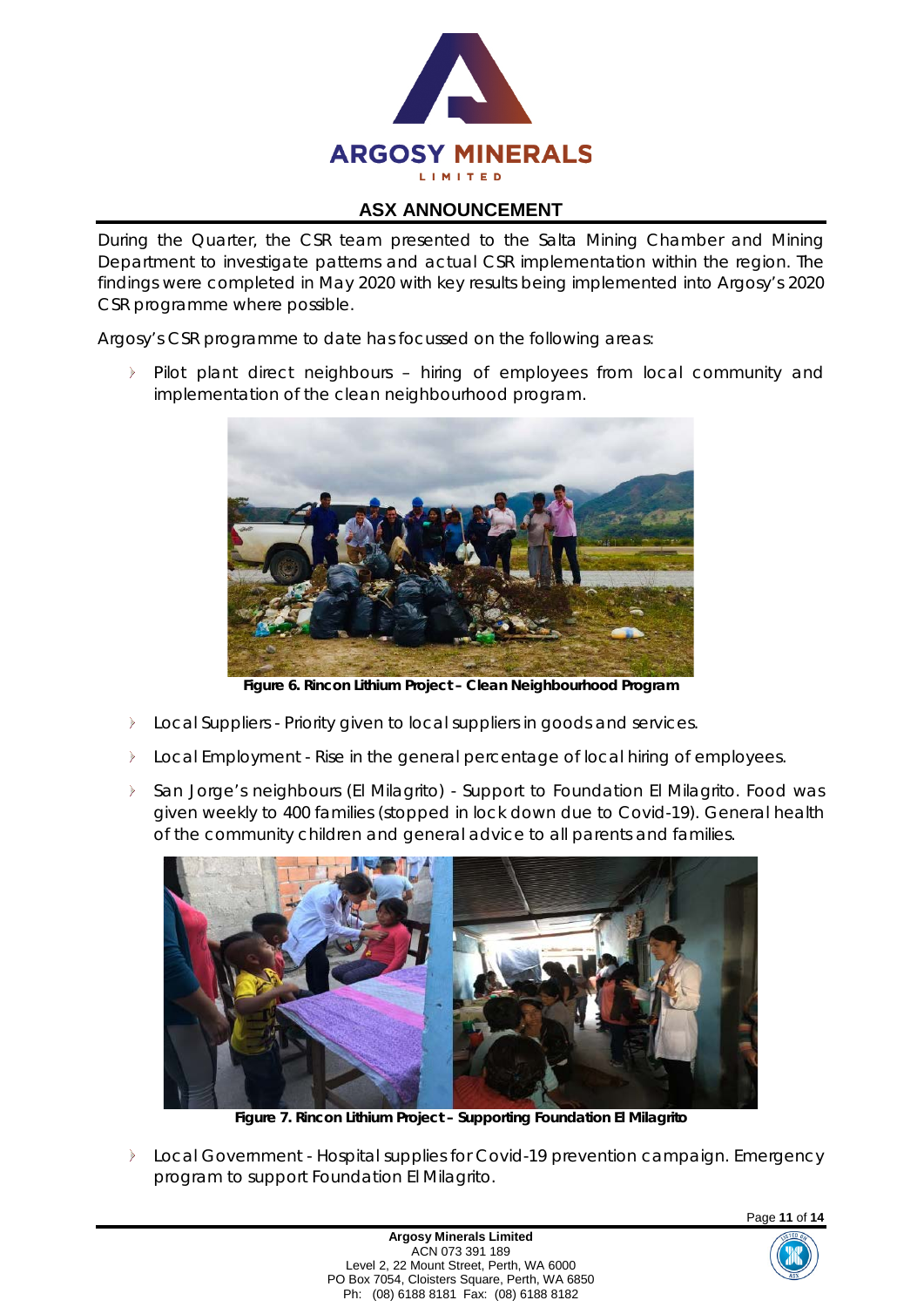

During the Quarter, the CSR team presented to the Salta Mining Chamber and Mining Department to investigate patterns and actual CSR implementation within the region. The findings were completed in May 2020 with key results being implemented into Argosy's 2020 CSR programme where possible.

Argosy's CSR programme to date has focussed on the following areas:

Pilot plant direct neighbours – hiring of employees from local community and implementation of the clean neighbourhood program.



**Figure 6. Rincon Lithium Project – Clean Neighbourhood Program**

- $\triangleright$ Local Suppliers - Priority given to local suppliers in goods and services.
- Local Employment Rise in the general percentage of local hiring of employees.
- San Jorge's neighbours (El Milagrito) Support to Foundation El Milagrito. Food was  $\blacktriangleright$ given weekly to 400 families (stopped in lock down due to Covid-19). General health of the community children and general advice to all parents and families.



**Figure 7. Rincon Lithium Project – Supporting Foundation El Milagrito**

**Local Government - Hospital supplies for Covid-19 prevention campaign. Emergency** program to support Foundation El Milagrito.

> **Argosy Minerals Limited** ACN 073 391 189 Level 2, 22 Mount Street, Perth, WA 6000 PO Box 7054, Cloisters Square, Perth, WA 6850 Ph: (08) 6188 8181 Fax: (08) 6188 8182



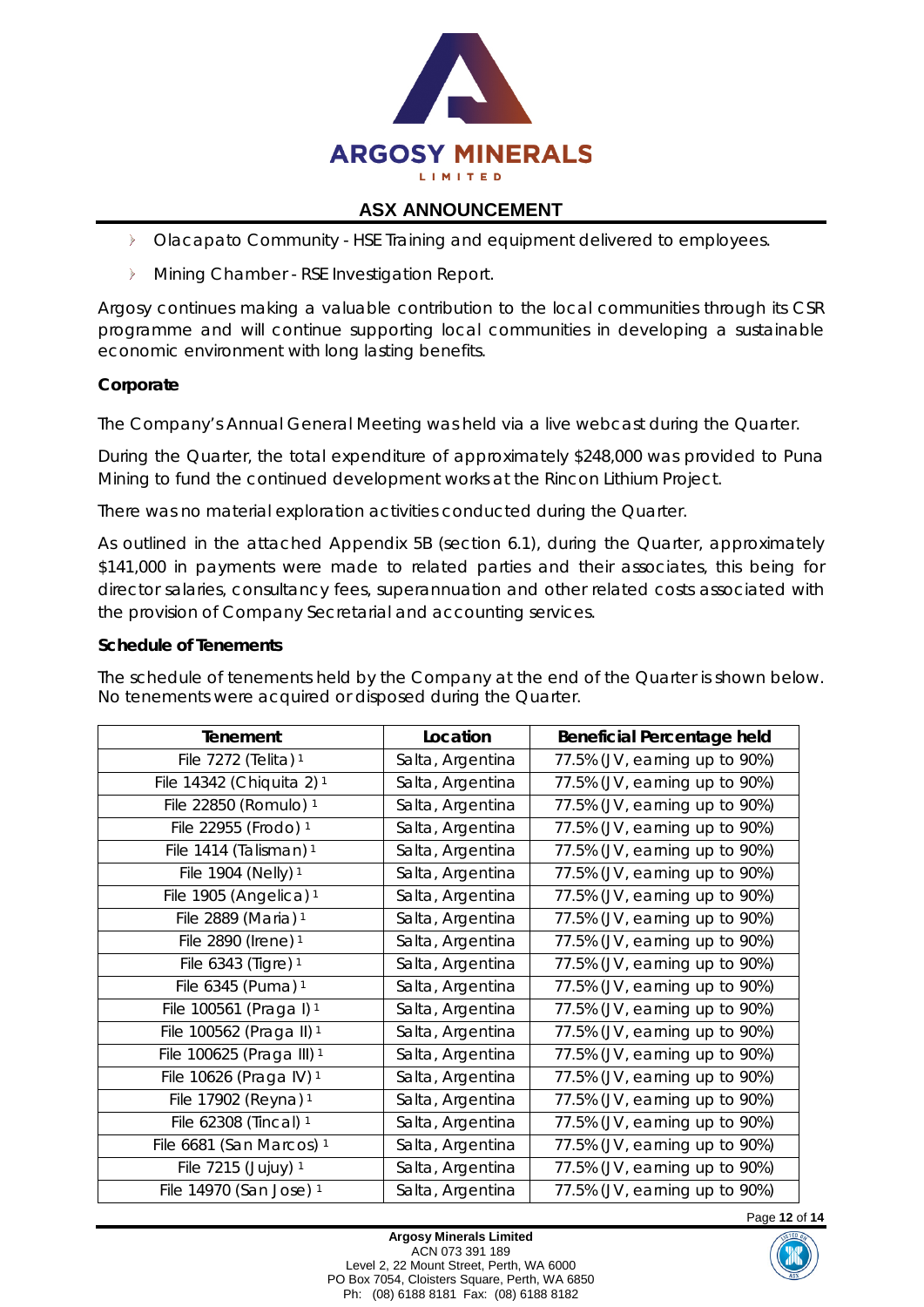

- **Diacapato Community HSE Training and equipment delivered to employees.**
- **Mining Chamber RSE Investigation Report.**

Argosy continues making a valuable contribution to the local communities through its CSR programme and will continue supporting local communities in developing a sustainable economic environment with long lasting benefits.

## **Corporate**

The Company's Annual General Meeting was held via a live webcast during the Quarter.

During the Quarter, the total expenditure of approximately \$248,000 was provided to Puna Mining to fund the continued development works at the Rincon Lithium Project.

There was no material exploration activities conducted during the Quarter.

As outlined in the attached Appendix 5B (section 6.1), during the Quarter, approximately \$141,000 in payments were made to related parties and their associates, this being for director salaries, consultancy fees, superannuation and other related costs associated with the provision of Company Secretarial and accounting services.

#### **Schedule of Tenements**

The schedule of tenements held by the Company at the end of the Quarter is shown below. No tenements were acquired or disposed during the Quarter.

| Tenement                             | Location         | <b>Beneficial Percentage held</b> |
|--------------------------------------|------------------|-----------------------------------|
| File 7272 (Telita) <sup>1</sup>      | Salta, Argentina | 77.5% (JV, earning up to 90%)     |
| File 14342 (Chiquita 2) <sup>1</sup> | Salta, Argentina | 77.5% (JV, earning up to 90%)     |
| File 22850 (Romulo) 1                | Salta, Argentina | 77.5% (JV, earning up to 90%)     |
| File 22955 (Frodo) 1                 | Salta, Argentina | 77.5% (JV, earning up to 90%)     |
| File 1414 (Talisman) <sup>1</sup>    | Salta, Argentina | 77.5% (JV, earning up to 90%)     |
| File 1904 (Nelly) 1                  | Salta, Argentina | 77.5% (JV, earning up to 90%)     |
| File 1905 (Angelica) <sup>1</sup>    | Salta, Argentina | 77.5% (JV, earning up to 90%)     |
| File 2889 (Maria) 1                  | Salta, Argentina | 77.5% (JV, earning up to 90%)     |
| File 2890 (Irene) 1                  | Salta, Argentina | 77.5% (JV, earning up to 90%)     |
| File 6343 (Tigre) 1                  | Salta, Argentina | 77.5% (JV, earning up to 90%)     |
| File 6345 (Puma) 1                   | Salta, Argentina | 77.5% (JV, earning up to 90%)     |
| File 100561 (Praga I) <sup>1</sup>   | Salta, Argentina | 77.5% (JV, earning up to 90%)     |
| File 100562 (Praga II) <sup>1</sup>  | Salta, Argentina | 77.5% (JV, earning up to 90%)     |
| File 100625 (Praga III) <sup>1</sup> | Salta, Argentina | 77.5% (JV, earning up to 90%)     |
| File 10626 (Praga IV) 1              | Salta, Argentina | 77.5% (JV, earning up to 90%)     |
| File 17902 (Reyna) 1                 | Salta, Argentina | 77.5% (JV, earning up to 90%)     |
| File 62308 (Tincal) 1                | Salta, Argentina | 77.5% (JV, earning up to 90%)     |
| File 6681 (San Marcos) <sup>1</sup>  | Salta, Argentina | 77.5% (JV, earning up to 90%)     |
| File 7215 (Jujuy) 1                  | Salta, Argentina | 77.5% (JV, earning up to 90%)     |
| File 14970 (San Jose) 1              | Salta, Argentina | 77.5% (JV, earning up to 90%)     |

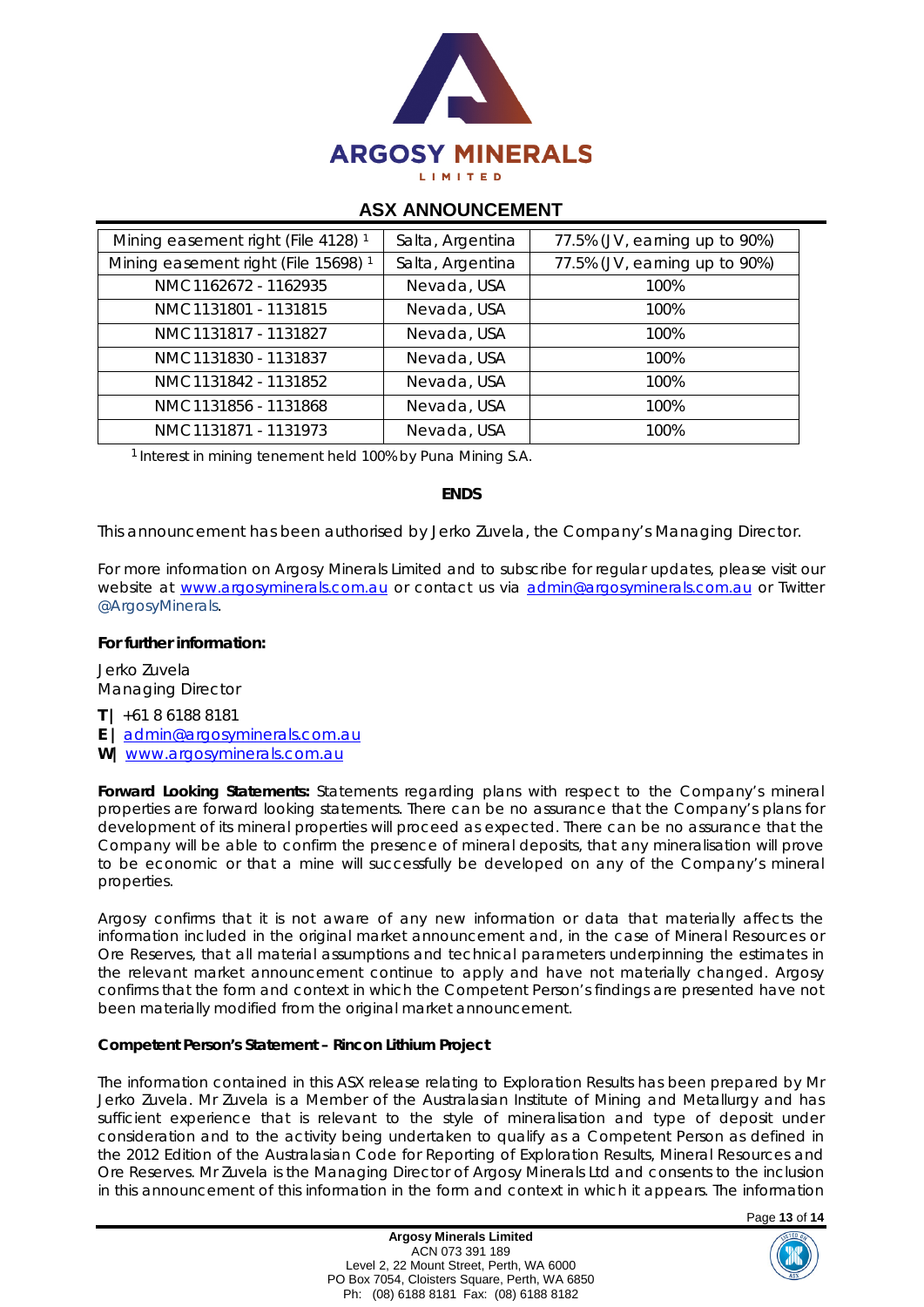

| Mining easement right (File 4128) <sup>1</sup>  | Salta, Argentina | 77.5% (JV, earning up to 90%) |
|-------------------------------------------------|------------------|-------------------------------|
| Mining easement right (File 15698) <sup>1</sup> | Salta, Argentina | 77.5% (JV, earning up to 90%) |
| NMC1162672 - 1162935                            | Nevada, USA      | 100%                          |
| NMC1131801 - 1131815                            | Nevada, USA      | 100%                          |
| NMC1131817 - 1131827                            | Nevada, USA      | 100%                          |
| NMC1131830 - 1131837                            | Nevada, USA      | 100%                          |
| NMC1131842 - 1131852                            | Nevada, USA      | 100%                          |
| NMC1131856 - 1131868                            | Nevada, USA      | 100%                          |
| NMC1131871 - 1131973                            | Nevada, USA      | 100%                          |

<sup>1</sup> Interest in mining tenement held 100% by Puna Mining S.A.

#### **ENDS**

*This announcement has been authorised by Jerko Zuvela, the Company's Managing Director.*

For more information on Argosy Minerals Limited and to subscribe for regular updates, please visit our *website at [www.argosyminerals.com.au](http://www.argosyminerals.com.au/) or contact us via [admin@argosyminerals.com.au](mailto:admin@argosyminerals.com.au) or* Twitter *[@ArgosyMinerals](https://twitter.com/ArgosyMinerals)*.

#### **For further information:**

Jerko Zuvela Managing Director

**T |** +61 8 6188 8181 **E |** [admin@argosyminerals.com.au](mailto:admin@argosyminerals.com.au)

**W|** [www.argosyminerals.com.au](http://www.argosyminerals.com.au/)

**Forward Looking Statements:** Statements regarding plans with respect to the Company's mineral properties are forward looking statements. There can be no assurance that the Company's plans for development of its mineral properties will proceed as expected. There can be no assurance that the Company will be able to confirm the presence of mineral deposits, that any mineralisation will prove to be economic or that a mine will successfully be developed on any of the Company's mineral properties.

Argosy confirms that it is not aware of any new information or data that materially affects the information included in the original market announcement and, in the case of Mineral Resources or Ore Reserves, that all material assumptions and technical parameters underpinning the estimates in the relevant market announcement continue to apply and have not materially changed. Argosy confirms that the form and context in which the Competent Person's findings are presented have not been materially modified from the original market announcement.

#### **Competent Person's Statement – Rincon Lithium Project**

The information contained in this ASX release relating to Exploration Results has been prepared by Mr Jerko Zuvela. Mr Zuvela is a Member of the Australasian Institute of Mining and Metallurgy and has sufficient experience that is relevant to the style of mineralisation and type of deposit under consideration and to the activity being undertaken to qualify as a Competent Person as defined in the 2012 Edition of the Australasian Code for Reporting of Exploration Results, Mineral Resources and Ore Reserves. Mr Zuvela is the Managing Director of Argosy Minerals Ltd and consents to the inclusion in this announcement of this information in the form and context in which it appears. The information